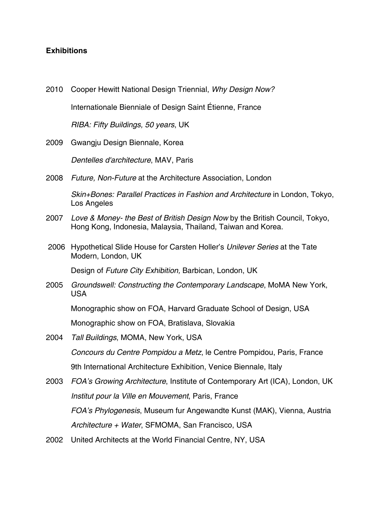## **Exhibitions**

2010 Cooper Hewitt National Design Triennial, *Why Design Now?* 2009 Gwangju Design Biennale, Korea 2008 *Future, Non-Future* at the Architecture Association, London Internationale Bienniale of Design Saint Étienne, France *RIBA: Fifty Buildings, 50 years*, UK *Dentelles d'architecture*, MAV, Paris *Skin+Bones: Parallel Practices in Fashion and Architecture* in London, Tokyo, Los Angeles 2007 *Love & Money- the Best of British Design Now* by the British Council, Tokyo, Hong Kong, Indonesia, Malaysia, Thailand, Taiwan and Korea. 2006 Hypothetical Slide House for Carsten Holler's *Unilever Series* at the Tate Modern, London, UK Design of *Future City Exhibition,* Barbican, London, UK 2005 *Groundswell: Constructing the Contemporary Landscape*, MoMA New York, USA Monographic show on FOA, Harvard Graduate School of Design, USA Monographic show on FOA, Bratislava, Slovakia 2004 *Tall Buildings*, MOMA, New York, USA *Concours du Centre Pompidou a Metz*, le Centre Pompidou, Paris, France 9th International Architecture Exhibition, Venice Biennale, Italy 2003 *FOA's Growing Architecture*, Institute of Contemporary Art (ICA), London, UK *Institut pour la Ville en Mouvement*, Paris, France *FOA's Phylogenesis*, Museum fur Angewandte Kunst (MAK), Vienna, Austria *Architecture + Water*, SFMOMA, San Francisco, USA 2002 United Architects at the World Financial Centre, NY, USA